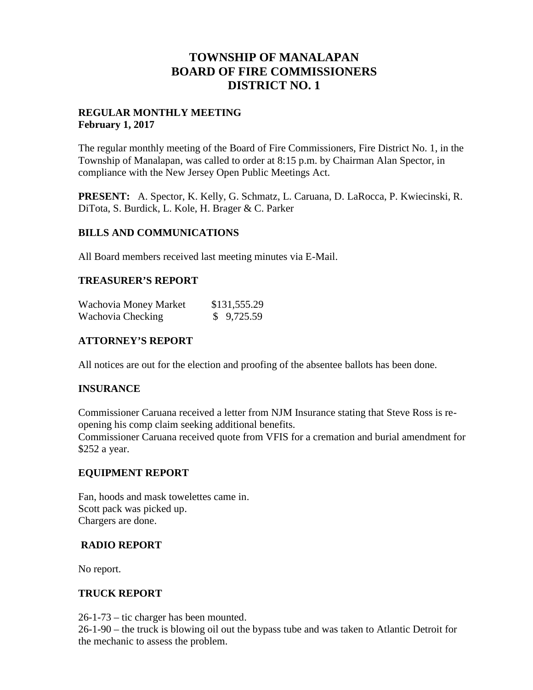# **TOWNSHIP OF MANALAPAN BOARD OF FIRE COMMISSIONERS DISTRICT NO. 1**

## **REGULAR MONTHLY MEETING February 1, 2017**

The regular monthly meeting of the Board of Fire Commissioners, Fire District No. 1, in the Township of Manalapan, was called to order at 8:15 p.m. by Chairman Alan Spector, in compliance with the New Jersey Open Public Meetings Act.

**PRESENT:** A. Spector, K. Kelly, G. Schmatz, L. Caruana, D. LaRocca, P. Kwiecinski, R. DiTota, S. Burdick, L. Kole, H. Brager & C. Parker

## **BILLS AND COMMUNICATIONS**

All Board members received last meeting minutes via E-Mail.

## **TREASURER'S REPORT**

| Wachovia Money Market | \$131,555.29 |  |
|-----------------------|--------------|--|
| Wachovia Checking     | \$9,725.59   |  |

## **ATTORNEY'S REPORT**

All notices are out for the election and proofing of the absentee ballots has been done.

## **INSURANCE**

Commissioner Caruana received a letter from NJM Insurance stating that Steve Ross is re opening his comp claim seeking additional benefits.

Commissioner Caruana received quote from VFIS for a cremation and burial amendment for \$252 a year.

### **EQUIPMENT REPORT**

Fan, hoods and mask towelettes came in. Scott pack was picked up. Chargers are done.

### **RADIO REPORT**

No report.

### **TRUCK REPORT**

26-1-73 – tic charger has been mounted.

26-1-90 – the truck is blowing oil out the bypass tube and was taken to Atlantic Detroit for the mechanic to assess the problem.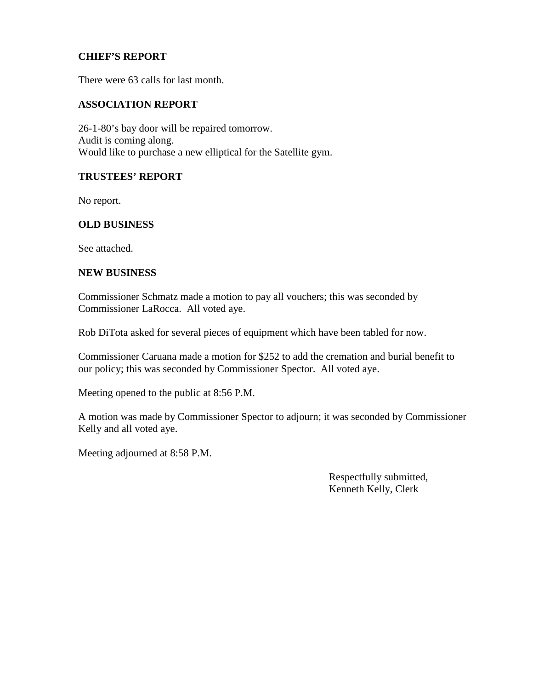## **CHIEF'S REPORT**

There were 63 calls for last month.

#### **ASSOCIATION REPORT**

26-1-80's bay door will be repaired tomorrow. Audit is coming along. Would like to purchase a new elliptical for the Satellite gym.

#### **TRUSTEES' REPORT**

No report.

### **OLD BUSINESS**

See attached.

#### **NEW BUSINESS**

Commissioner Schmatz made a motion to pay all vouchers; this was seconded by Commissioner LaRocca. All voted aye.

Rob DiTota asked for several pieces of equipment which have been tabled for now.

Commissioner Caruana made a motion for \$252 to add the cremation and burial benefit to our policy; this was seconded by Commissioner Spector. All voted aye.

Meeting opened to the public at 8:56 P.M.

A motion was made by Commissioner Spector to adjourn; it was seconded by Commissioner Kelly and all voted aye.

Meeting adjourned at 8:58 P.M.

Respectfully submitted, Kenneth Kelly, Clerk